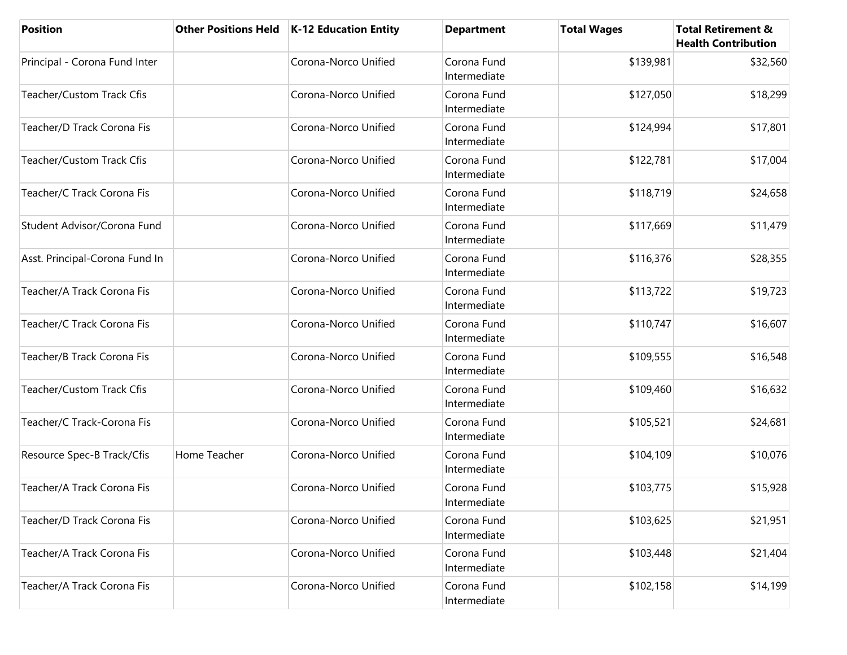| <b>Position</b>                  | <b>Other Positions Held</b> | <b>K-12 Education Entity</b> | <b>Department</b>           | <b>Total Wages</b> | <b>Total Retirement &amp;</b><br><b>Health Contribution</b> |
|----------------------------------|-----------------------------|------------------------------|-----------------------------|--------------------|-------------------------------------------------------------|
| Principal - Corona Fund Inter    |                             | Corona-Norco Unified         | Corona Fund<br>Intermediate | \$139,981          | \$32,560                                                    |
| <b>Teacher/Custom Track Cfis</b> |                             | Corona-Norco Unified         | Corona Fund<br>Intermediate | \$127,050          | \$18,299                                                    |
| Teacher/D Track Corona Fis       |                             | Corona-Norco Unified         | Corona Fund<br>Intermediate | \$124,994          | \$17,801                                                    |
| Teacher/Custom Track Cfis        |                             | Corona-Norco Unified         | Corona Fund<br>Intermediate | \$122,781          | \$17,004                                                    |
| Teacher/C Track Corona Fis       |                             | Corona-Norco Unified         | Corona Fund<br>Intermediate | \$118,719          | \$24,658                                                    |
| Student Advisor/Corona Fund      |                             | Corona-Norco Unified         | Corona Fund<br>Intermediate | \$117,669          | \$11,479                                                    |
| Asst. Principal-Corona Fund In   |                             | Corona-Norco Unified         | Corona Fund<br>Intermediate | \$116,376          | \$28,355                                                    |
| Teacher/A Track Corona Fis       |                             | Corona-Norco Unified         | Corona Fund<br>Intermediate | \$113,722          | \$19,723                                                    |
| Teacher/C Track Corona Fis       |                             | Corona-Norco Unified         | Corona Fund<br>Intermediate | \$110,747          | \$16,607                                                    |
| Teacher/B Track Corona Fis       |                             | Corona-Norco Unified         | Corona Fund<br>Intermediate | \$109,555          | \$16,548                                                    |
| <b>Teacher/Custom Track Cfis</b> |                             | Corona-Norco Unified         | Corona Fund<br>Intermediate | \$109,460          | \$16,632                                                    |
| Teacher/C Track-Corona Fis       |                             | Corona-Norco Unified         | Corona Fund<br>Intermediate | \$105,521          | \$24,681                                                    |
| Resource Spec-B Track/Cfis       | Home Teacher                | Corona-Norco Unified         | Corona Fund<br>Intermediate | \$104,109          | \$10,076                                                    |
| Teacher/A Track Corona Fis       |                             | Corona-Norco Unified         | Corona Fund<br>Intermediate | \$103,775          | \$15,928                                                    |
| Teacher/D Track Corona Fis       |                             | Corona-Norco Unified         | Corona Fund<br>Intermediate | \$103,625          | \$21,951                                                    |
| Teacher/A Track Corona Fis       |                             | Corona-Norco Unified         | Corona Fund<br>Intermediate | \$103,448          | \$21,404                                                    |
| Teacher/A Track Corona Fis       |                             | Corona-Norco Unified         | Corona Fund<br>Intermediate | \$102,158          | \$14,199                                                    |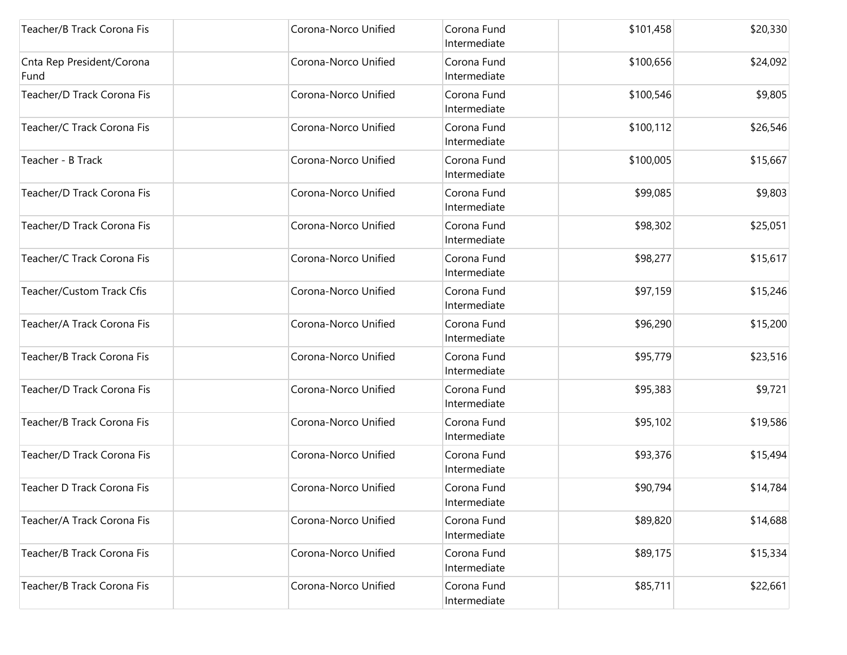| Teacher/B Track Corona Fis        | Corona-Norco Unified | Corona Fund<br>Intermediate | \$101,458 | \$20,330 |
|-----------------------------------|----------------------|-----------------------------|-----------|----------|
| Cnta Rep President/Corona<br>Fund | Corona-Norco Unified | Corona Fund<br>Intermediate | \$100,656 | \$24,092 |
| Teacher/D Track Corona Fis        | Corona-Norco Unified | Corona Fund<br>Intermediate | \$100,546 | \$9,805  |
| Teacher/C Track Corona Fis        | Corona-Norco Unified | Corona Fund<br>Intermediate | \$100,112 | \$26,546 |
| Teacher - B Track                 | Corona-Norco Unified | Corona Fund<br>Intermediate | \$100,005 | \$15,667 |
| Teacher/D Track Corona Fis        | Corona-Norco Unified | Corona Fund<br>Intermediate | \$99,085  | \$9,803  |
| Teacher/D Track Corona Fis        | Corona-Norco Unified | Corona Fund<br>Intermediate | \$98,302  | \$25,051 |
| Teacher/C Track Corona Fis        | Corona-Norco Unified | Corona Fund<br>Intermediate | \$98,277  | \$15,617 |
| Teacher/Custom Track Cfis         | Corona-Norco Unified | Corona Fund<br>Intermediate | \$97,159  | \$15,246 |
| Teacher/A Track Corona Fis        | Corona-Norco Unified | Corona Fund<br>Intermediate | \$96,290  | \$15,200 |
| Teacher/B Track Corona Fis        | Corona-Norco Unified | Corona Fund<br>Intermediate | \$95,779  | \$23,516 |
| Teacher/D Track Corona Fis        | Corona-Norco Unified | Corona Fund<br>Intermediate | \$95,383  | \$9,721  |
| Teacher/B Track Corona Fis        | Corona-Norco Unified | Corona Fund<br>Intermediate | \$95,102  | \$19,586 |
| Teacher/D Track Corona Fis        | Corona-Norco Unified | Corona Fund<br>Intermediate | \$93,376  | \$15,494 |
| Teacher D Track Corona Fis        | Corona-Norco Unified | Corona Fund<br>Intermediate | \$90,794  | \$14,784 |
| Teacher/A Track Corona Fis        | Corona-Norco Unified | Corona Fund<br>Intermediate | \$89,820  | \$14,688 |
| Teacher/B Track Corona Fis        | Corona-Norco Unified | Corona Fund<br>Intermediate | \$89,175  | \$15,334 |
| Teacher/B Track Corona Fis        | Corona-Norco Unified | Corona Fund<br>Intermediate | \$85,711  | \$22,661 |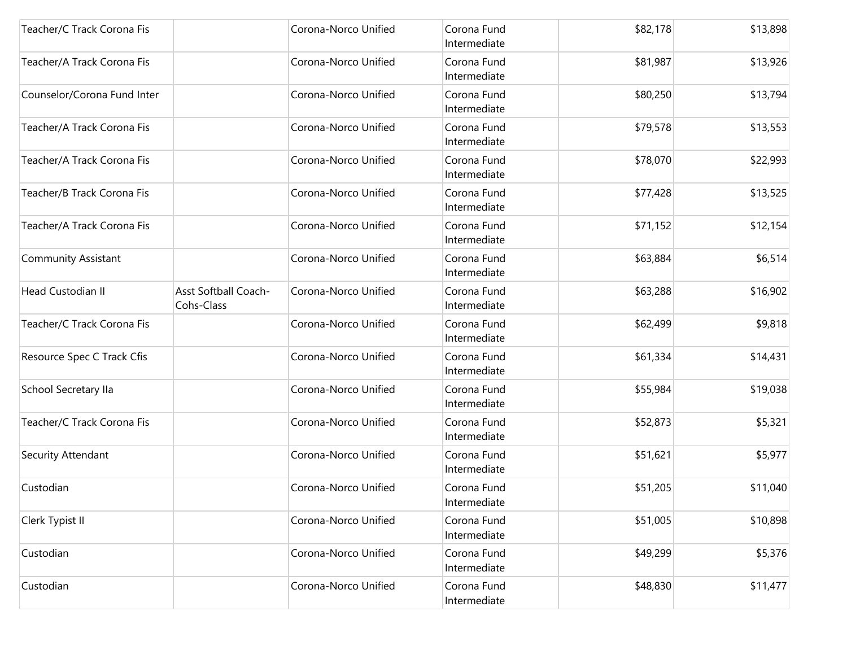| Teacher/C Track Corona Fis  |                                    | Corona-Norco Unified | Corona Fund<br>Intermediate | \$82,178 | \$13,898 |
|-----------------------------|------------------------------------|----------------------|-----------------------------|----------|----------|
| Teacher/A Track Corona Fis  |                                    | Corona-Norco Unified | Corona Fund<br>Intermediate | \$81,987 | \$13,926 |
| Counselor/Corona Fund Inter |                                    | Corona-Norco Unified | Corona Fund<br>Intermediate | \$80,250 | \$13,794 |
| Teacher/A Track Corona Fis  |                                    | Corona-Norco Unified | Corona Fund<br>Intermediate | \$79,578 | \$13,553 |
| Teacher/A Track Corona Fis  |                                    | Corona-Norco Unified | Corona Fund<br>Intermediate | \$78,070 | \$22,993 |
| Teacher/B Track Corona Fis  |                                    | Corona-Norco Unified | Corona Fund<br>Intermediate | \$77,428 | \$13,525 |
| Teacher/A Track Corona Fis  |                                    | Corona-Norco Unified | Corona Fund<br>Intermediate | \$71,152 | \$12,154 |
| Community Assistant         |                                    | Corona-Norco Unified | Corona Fund<br>Intermediate | \$63,884 | \$6,514  |
| Head Custodian II           | Asst Softball Coach-<br>Cohs-Class | Corona-Norco Unified | Corona Fund<br>Intermediate | \$63,288 | \$16,902 |
| Teacher/C Track Corona Fis  |                                    | Corona-Norco Unified | Corona Fund<br>Intermediate | \$62,499 | \$9,818  |
| Resource Spec C Track Cfis  |                                    | Corona-Norco Unified | Corona Fund<br>Intermediate | \$61,334 | \$14,431 |
| School Secretary IIa        |                                    | Corona-Norco Unified | Corona Fund<br>Intermediate | \$55,984 | \$19,038 |
| Teacher/C Track Corona Fis  |                                    | Corona-Norco Unified | Corona Fund<br>Intermediate | \$52,873 | \$5,321  |
| Security Attendant          |                                    | Corona-Norco Unified | Corona Fund<br>Intermediate | \$51,621 | \$5,977  |
| Custodian                   |                                    | Corona-Norco Unified | Corona Fund<br>Intermediate | \$51,205 | \$11,040 |
| Clerk Typist II             |                                    | Corona-Norco Unified | Corona Fund<br>Intermediate | \$51,005 | \$10,898 |
| Custodian                   |                                    | Corona-Norco Unified | Corona Fund<br>Intermediate | \$49,299 | \$5,376  |
| Custodian                   |                                    | Corona-Norco Unified | Corona Fund<br>Intermediate | \$48,830 | \$11,477 |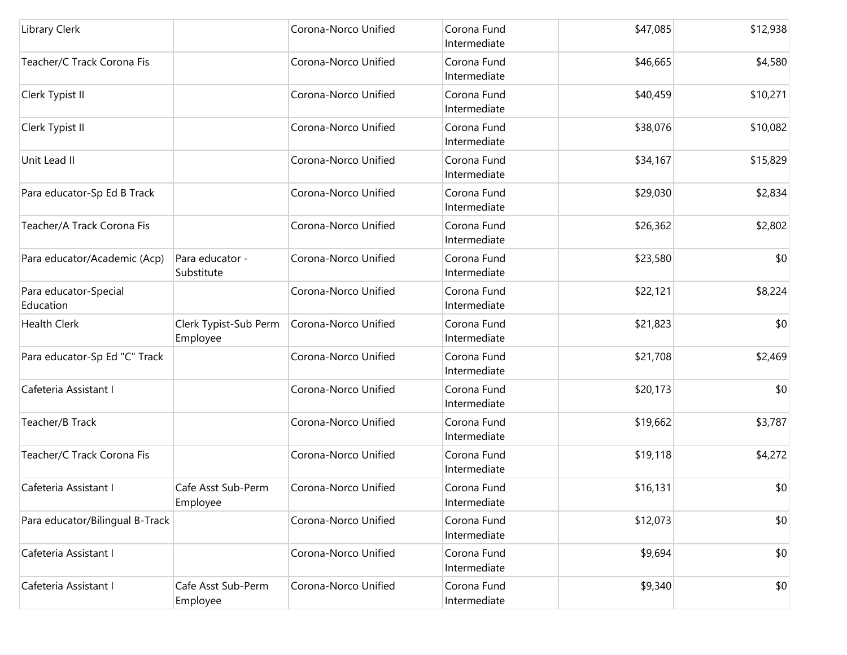| <b>Library Clerk</b>               |                                   | Corona-Norco Unified | Corona Fund<br>Intermediate | \$47,085 | \$12,938 |
|------------------------------------|-----------------------------------|----------------------|-----------------------------|----------|----------|
| Teacher/C Track Corona Fis         |                                   | Corona-Norco Unified | Corona Fund<br>Intermediate | \$46,665 | \$4,580  |
| Clerk Typist II                    |                                   | Corona-Norco Unified | Corona Fund<br>Intermediate | \$40,459 | \$10,271 |
| Clerk Typist II                    |                                   | Corona-Norco Unified | Corona Fund<br>Intermediate | \$38,076 | \$10,082 |
| Unit Lead II                       |                                   | Corona-Norco Unified | Corona Fund<br>Intermediate | \$34,167 | \$15,829 |
| Para educator-Sp Ed B Track        |                                   | Corona-Norco Unified | Corona Fund<br>Intermediate | \$29,030 | \$2,834  |
| Teacher/A Track Corona Fis         |                                   | Corona-Norco Unified | Corona Fund<br>Intermediate | \$26,362 | \$2,802  |
| Para educator/Academic (Acp)       | Para educator -<br>Substitute     | Corona-Norco Unified | Corona Fund<br>Intermediate | \$23,580 | \$0      |
| Para educator-Special<br>Education |                                   | Corona-Norco Unified | Corona Fund<br>Intermediate | \$22,121 | \$8,224  |
| <b>Health Clerk</b>                | Clerk Typist-Sub Perm<br>Employee | Corona-Norco Unified | Corona Fund<br>Intermediate | \$21,823 | \$0      |
| Para educator-Sp Ed "C" Track      |                                   | Corona-Norco Unified | Corona Fund<br>Intermediate | \$21,708 | \$2,469  |
| Cafeteria Assistant I              |                                   | Corona-Norco Unified | Corona Fund<br>Intermediate | \$20,173 | \$0      |
| Teacher/B Track                    |                                   | Corona-Norco Unified | Corona Fund<br>Intermediate | \$19,662 | \$3,787  |
| Teacher/C Track Corona Fis         |                                   | Corona-Norco Unified | Corona Fund<br>Intermediate | \$19,118 | \$4,272  |
| Cafeteria Assistant I              | Cafe Asst Sub-Perm<br>Employee    | Corona-Norco Unified | Corona Fund<br>Intermediate | \$16,131 | \$0      |
| Para educator/Bilingual B-Track    |                                   | Corona-Norco Unified | Corona Fund<br>Intermediate | \$12,073 | \$0      |
| Cafeteria Assistant I              |                                   | Corona-Norco Unified | Corona Fund<br>Intermediate | \$9,694  | \$0      |
| Cafeteria Assistant I              | Cafe Asst Sub-Perm<br>Employee    | Corona-Norco Unified | Corona Fund<br>Intermediate | \$9,340  | \$0      |